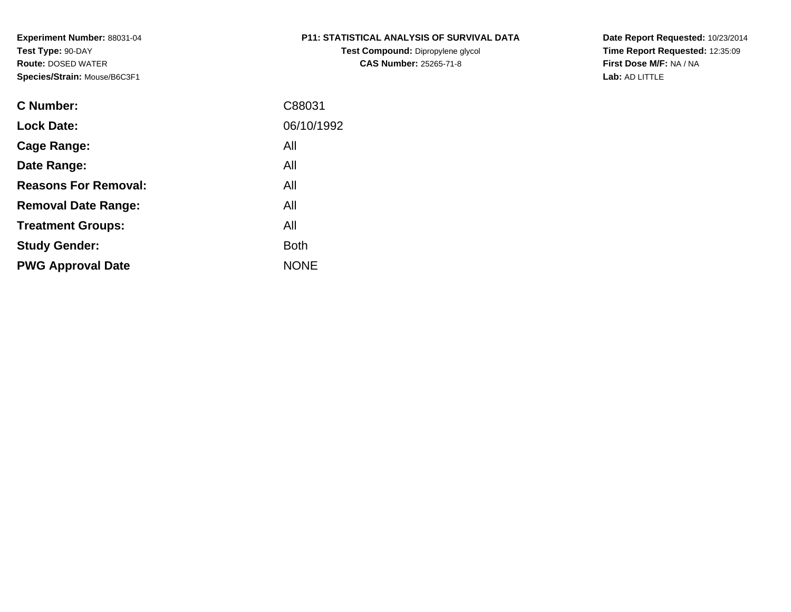**Test Compound:** Dipropylene glycol **CAS Number:** 25265-71-8

**Date Report Requested:** 10/23/2014 **Time Report Requested:** 12:35:09**First Dose M/F:** NA / NA**Lab:** AD LITTLE

| <b>C</b> Number:            | C88031      |
|-----------------------------|-------------|
| <b>Lock Date:</b>           | 06/10/1992  |
| Cage Range:                 | All         |
| Date Range:                 | All         |
| <b>Reasons For Removal:</b> | All         |
| <b>Removal Date Range:</b>  | All         |
| <b>Treatment Groups:</b>    | All         |
| <b>Study Gender:</b>        | <b>Both</b> |
| <b>PWG Approval Date</b>    | <b>NONE</b> |
|                             |             |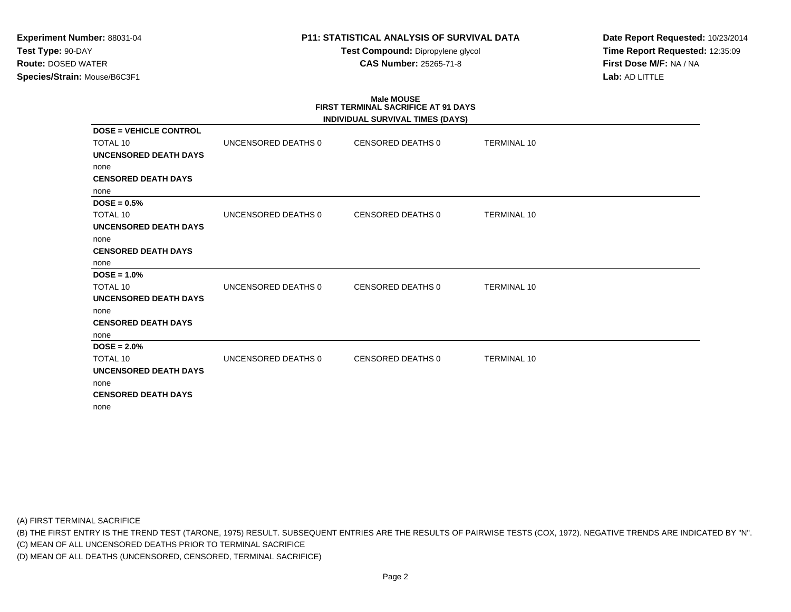### **P11: STATISTICAL ANALYSIS OF SURVIVAL DATA**

**Test Compound:** Dipropylene glycol **CAS Number:** 25265-71-8

**Date Report Requested:** 10/23/2014**Time Report Requested:** 12:35:09**First Dose M/F:** NA / NA**Lab:** AD LITTLE

# **Male MOUSEFIRST TERMINAL SACRIFICE AT 91 DAYS**

|                               |                     | INDIVIDUAL SURVIVAL TIMES (DAYS) |                    |
|-------------------------------|---------------------|----------------------------------|--------------------|
| <b>DOSE = VEHICLE CONTROL</b> |                     |                                  |                    |
| <b>TOTAL 10</b>               | UNCENSORED DEATHS 0 | CENSORED DEATHS 0                | <b>TERMINAL 10</b> |
| <b>UNCENSORED DEATH DAYS</b>  |                     |                                  |                    |
| none                          |                     |                                  |                    |
| <b>CENSORED DEATH DAYS</b>    |                     |                                  |                    |
| none                          |                     |                                  |                    |
| $DOSE = 0.5%$                 |                     |                                  |                    |
| <b>TOTAL 10</b>               | UNCENSORED DEATHS 0 | CENSORED DEATHS 0                | <b>TERMINAL 10</b> |
| <b>UNCENSORED DEATH DAYS</b>  |                     |                                  |                    |
| none                          |                     |                                  |                    |
| <b>CENSORED DEATH DAYS</b>    |                     |                                  |                    |
| none                          |                     |                                  |                    |
| $DOSE = 1.0%$                 |                     |                                  |                    |
| <b>TOTAL 10</b>               | UNCENSORED DEATHS 0 | CENSORED DEATHS 0                | <b>TERMINAL 10</b> |
| UNCENSORED DEATH DAYS         |                     |                                  |                    |
| none                          |                     |                                  |                    |
| <b>CENSORED DEATH DAYS</b>    |                     |                                  |                    |
| none                          |                     |                                  |                    |
| $DOSE = 2.0\%$                |                     |                                  |                    |
| <b>TOTAL 10</b>               | UNCENSORED DEATHS 0 | CENSORED DEATHS 0                | <b>TERMINAL 10</b> |
| <b>UNCENSORED DEATH DAYS</b>  |                     |                                  |                    |
| none                          |                     |                                  |                    |
| <b>CENSORED DEATH DAYS</b>    |                     |                                  |                    |
| none                          |                     |                                  |                    |

(A) FIRST TERMINAL SACRIFICE

(B) THE FIRST ENTRY IS THE TREND TEST (TARONE, 1975) RESULT. SUBSEQUENT ENTRIES ARE THE RESULTS OF PAIRWISE TESTS (COX, 1972). NEGATIVE TRENDS ARE INDICATED BY "N".

(C) MEAN OF ALL UNCENSORED DEATHS PRIOR TO TERMINAL SACRIFICE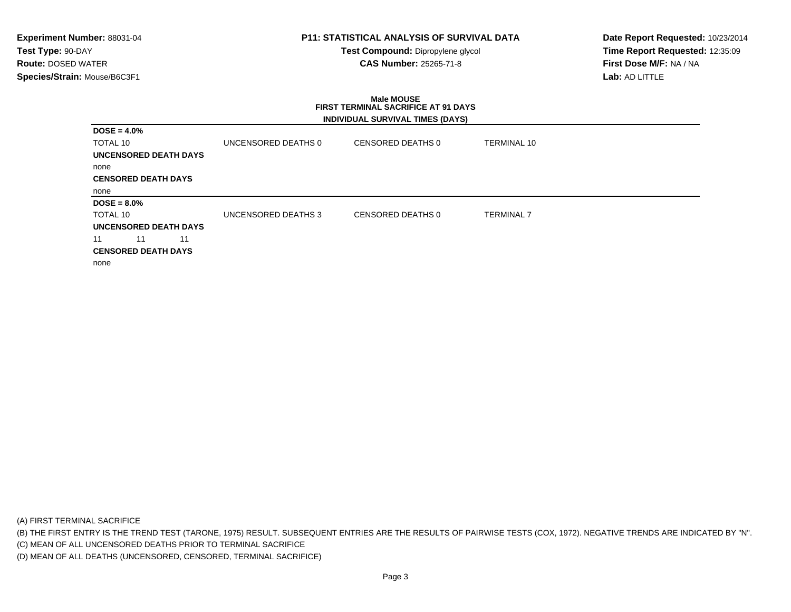### **P11: STATISTICAL ANALYSIS OF SURVIVAL DATA**

**Test Compound:** Dipropylene glycol **CAS Number:** 25265-71-8

**Date Report Requested:** 10/23/2014**Time Report Requested:** 12:35:09**First Dose M/F:** NA / NA**Lab:** AD LITTLE

### **Male MOUSE FIRST TERMINAL SACRIFICE AT 91 DAYSINDIVIDUAL SURVIVAL TIMES (DAYS)**

| $DOSE = 4.0\%$             |                     |                   |                    |  |
|----------------------------|---------------------|-------------------|--------------------|--|
| TOTAL 10                   | UNCENSORED DEATHS 0 | CENSORED DEATHS 0 | <b>TERMINAL 10</b> |  |
| UNCENSORED DEATH DAYS      |                     |                   |                    |  |
| none                       |                     |                   |                    |  |
| <b>CENSORED DEATH DAYS</b> |                     |                   |                    |  |
| none                       |                     |                   |                    |  |
| $DOSE = 8.0\%$             |                     |                   |                    |  |
| TOTAL 10                   | UNCENSORED DEATHS 3 | CENSORED DEATHS 0 | <b>TERMINAL 7</b>  |  |
| UNCENSORED DEATH DAYS      |                     |                   |                    |  |
| 11<br>11<br>11             |                     |                   |                    |  |
| <b>CENSORED DEATH DAYS</b> |                     |                   |                    |  |
| none                       |                     |                   |                    |  |
|                            |                     |                   |                    |  |

(A) FIRST TERMINAL SACRIFICE

(B) THE FIRST ENTRY IS THE TREND TEST (TARONE, 1975) RESULT. SUBSEQUENT ENTRIES ARE THE RESULTS OF PAIRWISE TESTS (COX, 1972). NEGATIVE TRENDS ARE INDICATED BY "N".

(C) MEAN OF ALL UNCENSORED DEATHS PRIOR TO TERMINAL SACRIFICE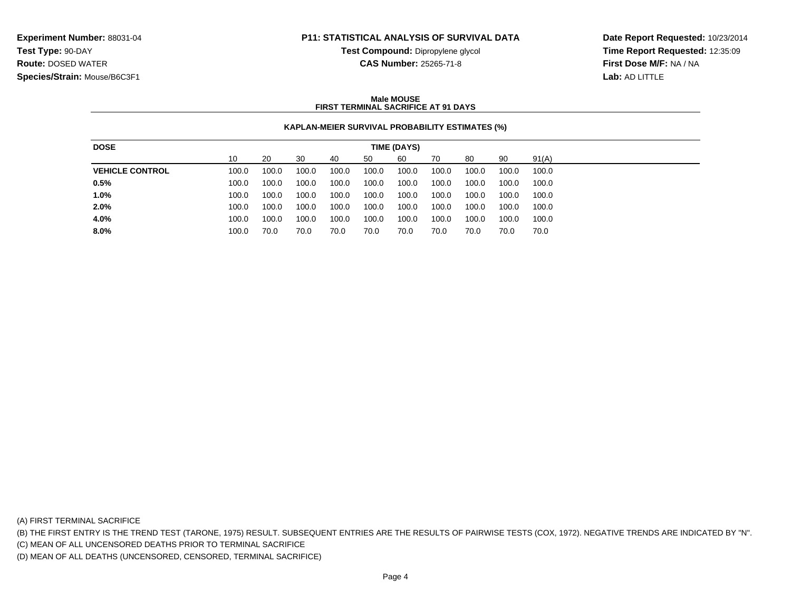### **P11: STATISTICAL ANALYSIS OF SURVIVAL DATA**

**Test Compound:** Dipropylene glycol **CAS Number:** 25265-71-8

**Date Report Requested:** 10/23/2014**Time Report Requested:** 12:35:09**First Dose M/F:** NA / NA**Lab:** AD LITTLE

#### **Male MOUSEFIRST TERMINAL SACRIFICE AT 91 DAYS**

### **KAPLAN-MEIER SURVIVAL PROBABILITY ESTIMATES (%)**

| <b>DOSE</b>            | TIME (DAYS) |       |       |       |       |       |       |       |       |       |
|------------------------|-------------|-------|-------|-------|-------|-------|-------|-------|-------|-------|
|                        | 10          | 20    | 30    | 40    | 50    | 60    | 70    | 80    | 90    | 91(A) |
| <b>VEHICLE CONTROL</b> | 100.0       | 100.0 | 100.0 | 100.0 | 100.0 | 100.0 | 100.0 | 100.0 | 100.0 | 100.0 |
| 0.5%                   | 100.0       | 100.0 | 100.0 | 100.0 | 100.0 | 100.0 | 100.0 | 100.0 | 100.0 | 100.0 |
| 1.0%                   | 100.0       | 100.0 | 100.0 | 100.0 | 100.0 | 100.0 | 100.0 | 100.0 | 100.0 | 100.0 |
| 2.0%                   | 100.0       | 100.0 | 100.0 | 100.0 | 100.0 | 100.0 | 100.0 | 100.0 | 100.0 | 100.0 |
| 4.0%                   | 100.0       | 100.0 | 100.0 | 100.0 | 100.0 | 100.0 | 100.0 | 100.0 | 100.0 | 100.0 |
| 8.0%                   | 100.0       | 70.0  | 70.0  | 70.0  | 70.0  | 70.0  | 70.0  | 70.0  | 70.0  | 70.0  |
|                        |             |       |       |       |       |       |       |       |       |       |

(A) FIRST TERMINAL SACRIFICE

(B) THE FIRST ENTRY IS THE TREND TEST (TARONE, 1975) RESULT. SUBSEQUENT ENTRIES ARE THE RESULTS OF PAIRWISE TESTS (COX, 1972). NEGATIVE TRENDS ARE INDICATED BY "N".

(C) MEAN OF ALL UNCENSORED DEATHS PRIOR TO TERMINAL SACRIFICE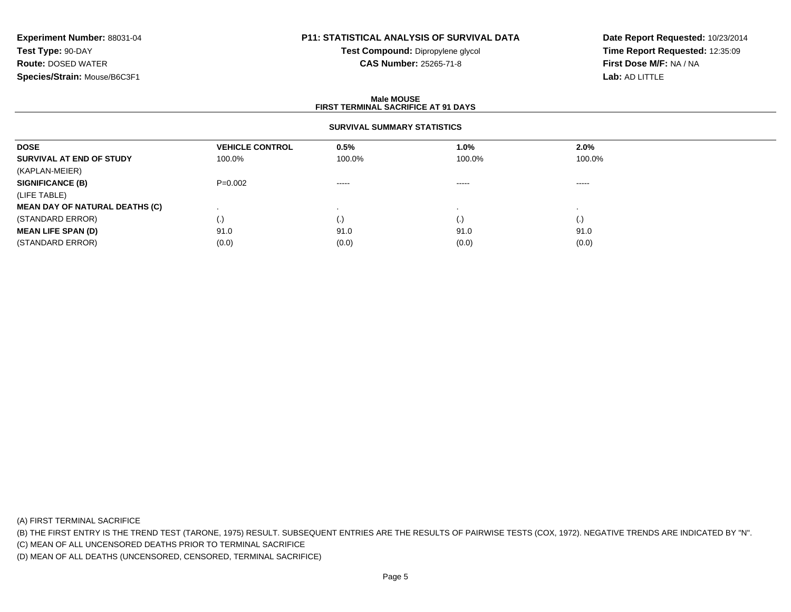## **P11: STATISTICAL ANALYSIS OF SURVIVAL DATA**

**Test Compound:** Dipropylene glycol **CAS Number:** 25265-71-8

**Date Report Requested:** 10/23/2014**Time Report Requested:** 12:35:09**First Dose M/F:** NA / NA**Lab:** AD LITTLE

#### **Male MOUSE FIRST TERMINAL SACRIFICE AT 91 DAYSSURVIVAL SUMMARY STATISTICSDOSEVEHICLE CONTROL 0.5%**<br>100.0% 100.0% **1.0% 2.0% SURVIVAL AT END OF STUDY** 100.0% 100.0% 100.0% 100.0% (KAPLAN-MEIER)**SIGNIFICANCE (B)** P=0.002 ----- ----- ----- (LIFE TABLE) **MEAN DAY OF NATURAL DEATHS (C)** . . . . (STANDARD ERROR) (.) (.) (.) (.) **MEAN LIFE SPAN (D)** 91.00 91.0 91.0 91.0 91.0 91.0 (STANDARD ERROR) $(0.0)$   $(0.0)$   $(0.0)$   $(0.0)$   $(0.0)$   $(0.0)$   $(0.0)$   $(0.0)$

(A) FIRST TERMINAL SACRIFICE

(B) THE FIRST ENTRY IS THE TREND TEST (TARONE, 1975) RESULT. SUBSEQUENT ENTRIES ARE THE RESULTS OF PAIRWISE TESTS (COX, 1972). NEGATIVE TRENDS ARE INDICATED BY "N".

(C) MEAN OF ALL UNCENSORED DEATHS PRIOR TO TERMINAL SACRIFICE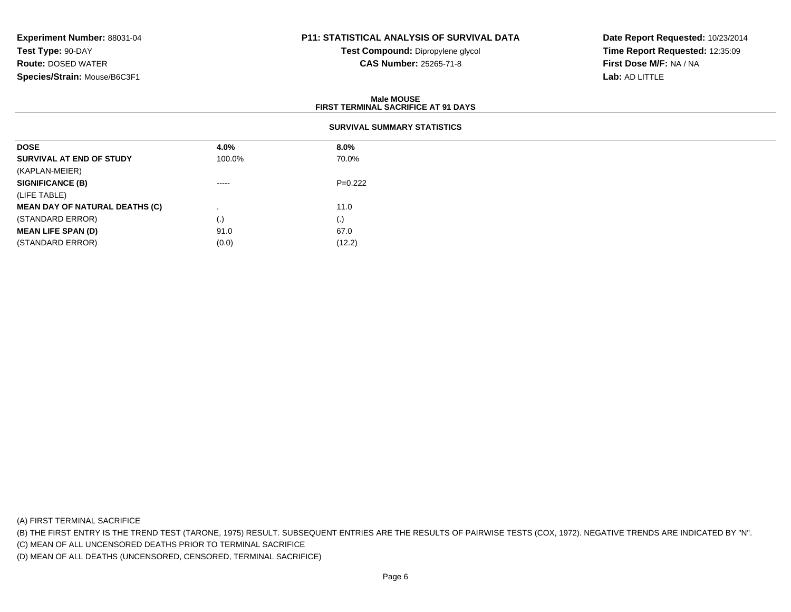## **P11: STATISTICAL ANALYSIS OF SURVIVAL DATA**

**Test Compound:** Dipropylene glycol **CAS Number:** 25265-71-8

**Date Report Requested:** 10/23/2014**Time Report Requested:** 12:35:09**First Dose M/F:** NA / NA**Lab:** AD LITTLE

|                                       |                    | <b>Male MOUSE</b><br><b>FIRST TERMINAL SACRIFICE AT 91 DAYS</b> |  |  |  |
|---------------------------------------|--------------------|-----------------------------------------------------------------|--|--|--|
| <b>SURVIVAL SUMMARY STATISTICS</b>    |                    |                                                                 |  |  |  |
| <b>DOSE</b>                           | 4.0%               | $8.0\%$                                                         |  |  |  |
| SURVIVAL AT END OF STUDY              | 100.0%             | 70.0%                                                           |  |  |  |
| (KAPLAN-MEIER)                        |                    |                                                                 |  |  |  |
| <b>SIGNIFICANCE (B)</b>               | -----              | $P=0.222$                                                       |  |  |  |
| (LIFE TABLE)                          |                    |                                                                 |  |  |  |
| <b>MEAN DAY OF NATURAL DEATHS (C)</b> |                    | 11.0                                                            |  |  |  |
| (STANDARD ERROR)                      | $\left( . \right)$ | (.)                                                             |  |  |  |
| <b>MEAN LIFE SPAN (D)</b>             | 91.0               | 67.0                                                            |  |  |  |
| (STANDARD ERROR)                      | (0.0)              | (12.2)                                                          |  |  |  |

(A) FIRST TERMINAL SACRIFICE

(B) THE FIRST ENTRY IS THE TREND TEST (TARONE, 1975) RESULT. SUBSEQUENT ENTRIES ARE THE RESULTS OF PAIRWISE TESTS (COX, 1972). NEGATIVE TRENDS ARE INDICATED BY "N".

(C) MEAN OF ALL UNCENSORED DEATHS PRIOR TO TERMINAL SACRIFICE

(D) MEAN OF ALL DEATHS (UNCENSORED, CENSORED, TERMINAL SACRIFICE)

 $(0.0)$  (12.2)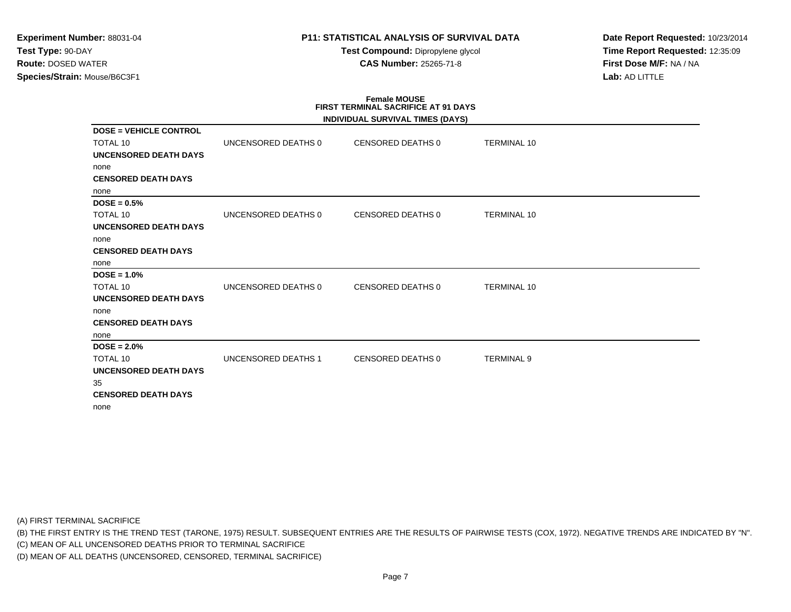### **P11: STATISTICAL ANALYSIS OF SURVIVAL DATA**

**Test Compound:** Dipropylene glycol **CAS Number:** 25265-71-8

**Date Report Requested:** 10/23/2014**Time Report Requested:** 12:35:09**First Dose M/F:** NA / NA**Lab:** AD LITTLE

#### **Female MOUSE FIRST TERMINAL SACRIFICE AT 91 DAYSINDIVIDUAL SURVIVAL TIMES (DAYS)**

|                               |                     | INDIVIDUAL SURVIVAL TIMES (DAYS) |                    |
|-------------------------------|---------------------|----------------------------------|--------------------|
| <b>DOSE = VEHICLE CONTROL</b> |                     |                                  |                    |
| <b>TOTAL 10</b>               | UNCENSORED DEATHS 0 | CENSORED DEATHS 0                | <b>TERMINAL 10</b> |
| UNCENSORED DEATH DAYS         |                     |                                  |                    |
| none                          |                     |                                  |                    |
| <b>CENSORED DEATH DAYS</b>    |                     |                                  |                    |
| none                          |                     |                                  |                    |
| $DOSE = 0.5%$                 |                     |                                  |                    |
| <b>TOTAL 10</b>               | UNCENSORED DEATHS 0 | CENSORED DEATHS 0                | <b>TERMINAL 10</b> |
| UNCENSORED DEATH DAYS         |                     |                                  |                    |
| none                          |                     |                                  |                    |
| <b>CENSORED DEATH DAYS</b>    |                     |                                  |                    |
| none                          |                     |                                  |                    |
| $DOSE = 1.0%$                 |                     |                                  |                    |
| <b>TOTAL 10</b>               | UNCENSORED DEATHS 0 | CENSORED DEATHS 0                | <b>TERMINAL 10</b> |
| <b>UNCENSORED DEATH DAYS</b>  |                     |                                  |                    |
| none                          |                     |                                  |                    |
| <b>CENSORED DEATH DAYS</b>    |                     |                                  |                    |
| none                          |                     |                                  |                    |
| $DOSE = 2.0%$                 |                     |                                  |                    |
| TOTAL 10                      | UNCENSORED DEATHS 1 | CENSORED DEATHS 0                | <b>TERMINAL 9</b>  |
| <b>UNCENSORED DEATH DAYS</b>  |                     |                                  |                    |
| 35                            |                     |                                  |                    |
| <b>CENSORED DEATH DAYS</b>    |                     |                                  |                    |
| none                          |                     |                                  |                    |

(A) FIRST TERMINAL SACRIFICE

(B) THE FIRST ENTRY IS THE TREND TEST (TARONE, 1975) RESULT. SUBSEQUENT ENTRIES ARE THE RESULTS OF PAIRWISE TESTS (COX, 1972). NEGATIVE TRENDS ARE INDICATED BY "N".

(C) MEAN OF ALL UNCENSORED DEATHS PRIOR TO TERMINAL SACRIFICE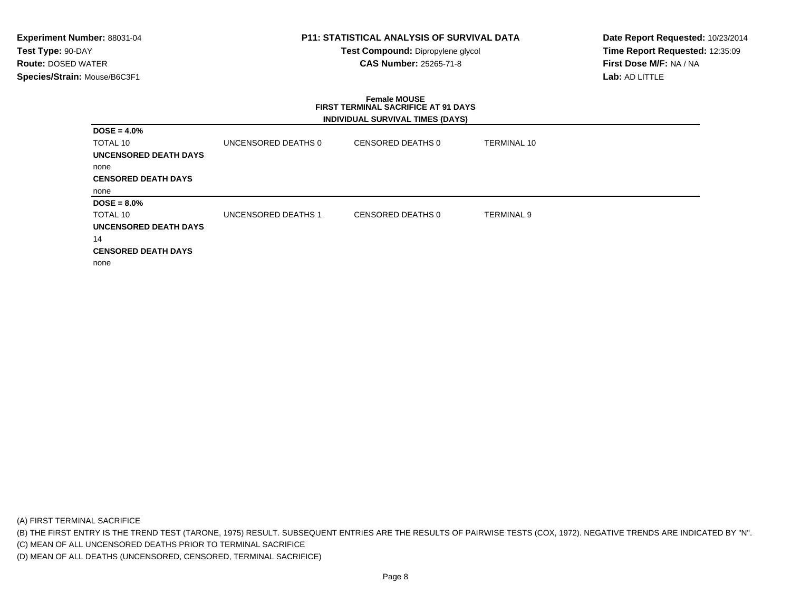### **P11: STATISTICAL ANALYSIS OF SURVIVAL DATA**

**Test Compound:** Dipropylene glycol **CAS Number:** 25265-71-8

**Date Report Requested:** 10/23/2014**Time Report Requested:** 12:35:09**First Dose M/F:** NA / NA**Lab:** AD LITTLE

### **Female MOUSE FIRST TERMINAL SACRIFICE AT 91 DAYSINDIVIDUAL SURVIVAL TIMES (DAYS)**

| $DOSE = 4.0\%$               |                     |                   |                    |  |
|------------------------------|---------------------|-------------------|--------------------|--|
| TOTAL 10                     | UNCENSORED DEATHS 0 | CENSORED DEATHS 0 | <b>TERMINAL 10</b> |  |
| UNCENSORED DEATH DAYS        |                     |                   |                    |  |
| none                         |                     |                   |                    |  |
| <b>CENSORED DEATH DAYS</b>   |                     |                   |                    |  |
| none                         |                     |                   |                    |  |
| $DOSE = 8.0\%$               |                     |                   |                    |  |
| TOTAL 10                     | UNCENSORED DEATHS 1 | CENSORED DEATHS 0 | <b>TERMINAL 9</b>  |  |
| <b>UNCENSORED DEATH DAYS</b> |                     |                   |                    |  |
| 14                           |                     |                   |                    |  |
| <b>CENSORED DEATH DAYS</b>   |                     |                   |                    |  |
| none                         |                     |                   |                    |  |

(A) FIRST TERMINAL SACRIFICE

(B) THE FIRST ENTRY IS THE TREND TEST (TARONE, 1975) RESULT. SUBSEQUENT ENTRIES ARE THE RESULTS OF PAIRWISE TESTS (COX, 1972). NEGATIVE TRENDS ARE INDICATED BY "N".

(C) MEAN OF ALL UNCENSORED DEATHS PRIOR TO TERMINAL SACRIFICE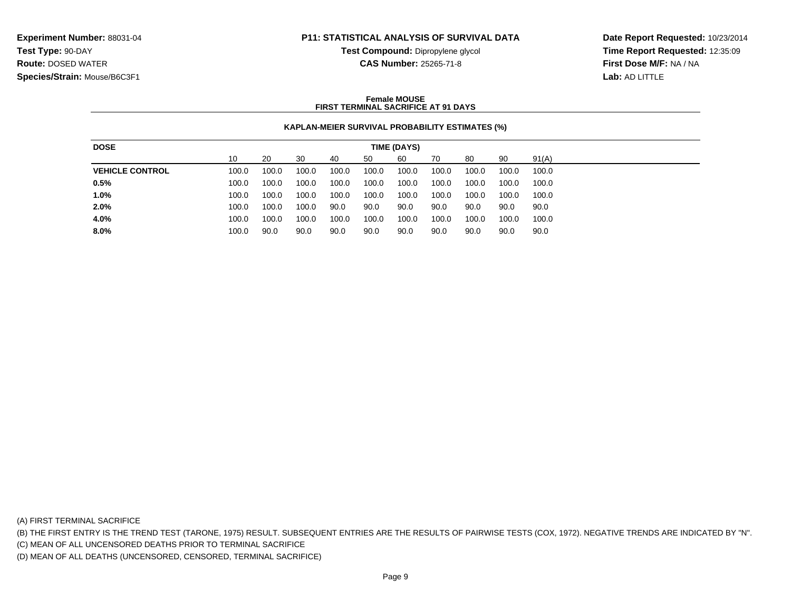### **P11: STATISTICAL ANALYSIS OF SURVIVAL DATA**

**Test Compound:** Dipropylene glycol **CAS Number:** 25265-71-8

**Date Report Requested:** 10/23/2014**Time Report Requested:** 12:35:09**First Dose M/F:** NA / NA**Lab:** AD LITTLE

#### **Female MOUSEFIRST TERMINAL SACRIFICE AT 91 DAYS**

### **KAPLAN-MEIER SURVIVAL PROBABILITY ESTIMATES (%)**

| <b>DOSE</b>            | <b>TIME (DAYS)</b> |       |       |       |       |       |       |       |       |       |
|------------------------|--------------------|-------|-------|-------|-------|-------|-------|-------|-------|-------|
|                        | 10                 | 20    | 30    | 40    | 50    | 60    | 70    | 80    | 90    | 91(A) |
| <b>VEHICLE CONTROL</b> | 100.0              | 100.0 | 100.0 | 100.0 | 100.0 | 100.0 | 100.0 | 100.0 | 100.0 | 100.0 |
| 0.5%                   | 100.0              | 100.0 | 100.0 | 100.0 | 100.0 | 100.0 | 100.0 | 100.0 | 100.0 | 100.0 |
| 1.0%                   | 100.0              | 100.0 | 100.0 | 100.0 | 100.0 | 100.0 | 100.0 | 100.0 | 100.0 | 100.0 |
| 2.0%                   | 100.0              | 100.0 | 100.0 | 90.0  | 90.0  | 90.0  | 90.0  | 90.0  | 90.0  | 90.0  |
| 4.0%                   | 100.0              | 100.0 | 100.0 | 100.0 | 100.0 | 100.0 | 100.0 | 100.0 | 100.0 | 100.0 |
| 8.0%                   | 100.0              | 90.0  | 90.0  | 90.0  | 90.0  | 90.0  | 90.0  | 90.0  | 90.0  | 90.0  |
|                        |                    |       |       |       |       |       |       |       |       |       |

(A) FIRST TERMINAL SACRIFICE

(B) THE FIRST ENTRY IS THE TREND TEST (TARONE, 1975) RESULT. SUBSEQUENT ENTRIES ARE THE RESULTS OF PAIRWISE TESTS (COX, 1972). NEGATIVE TRENDS ARE INDICATED BY "N".

(C) MEAN OF ALL UNCENSORED DEATHS PRIOR TO TERMINAL SACRIFICE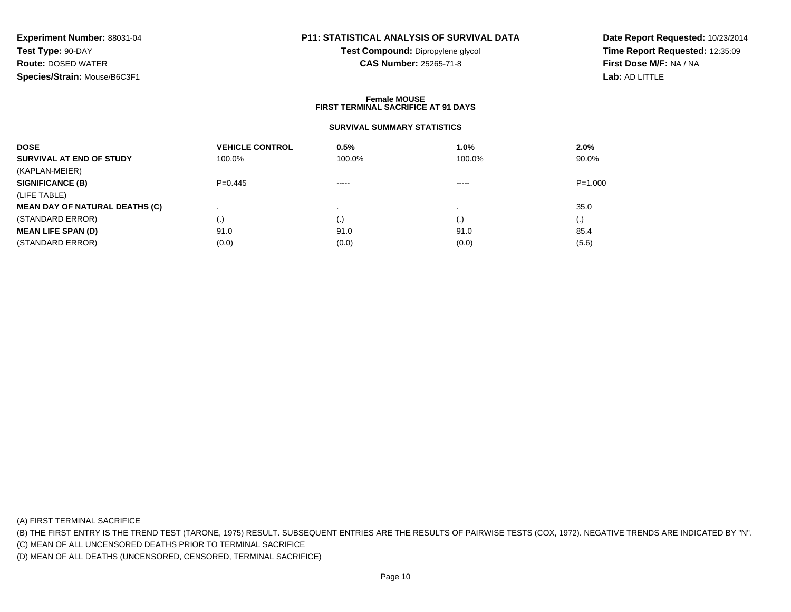## **P11: STATISTICAL ANALYSIS OF SURVIVAL DATA**

**Test Compound:** Dipropylene glycol **CAS Number:** 25265-71-8

**Date Report Requested:** 10/23/2014**Time Report Requested:** 12:35:09**First Dose M/F:** NA / NA**Lab:** AD LITTLE

#### **Female MOUSE FIRST TERMINAL SACRIFICE AT 91 DAYSSURVIVAL SUMMARY STATISTICSDOSEVEHICLE CONTROL 0.5%**<br>100.0% 100.0% **1.0% 2.0% SURVIVAL AT END OF STUDY** 100.0%% 100.0% 100.0% 100.0% 90.0% (KAPLAN-MEIER)**SIGNIFICANCE (B)** P=0.445 ----- ----- P=1.000 (LIFE TABLE) **MEAN DAY OF NATURAL DEATHS (C)**) and the contract of the contract of the contract of the contract of the contract of the contract of the contract of the contract of the contract of the contract of the contract of the contract of the contract of the con (STANDARD ERROR) (.) (.) (.) (.) **MEAN LIFE SPAN (D)** 91.00 91.0 91.0 91.0 91.0 91.0 95.4 (STANDARD ERROR)(0.0) (0.0) (0.0) (0.0) (0.0) (0.0) (5.6)

(A) FIRST TERMINAL SACRIFICE

(B) THE FIRST ENTRY IS THE TREND TEST (TARONE, 1975) RESULT. SUBSEQUENT ENTRIES ARE THE RESULTS OF PAIRWISE TESTS (COX, 1972). NEGATIVE TRENDS ARE INDICATED BY "N".

(C) MEAN OF ALL UNCENSORED DEATHS PRIOR TO TERMINAL SACRIFICE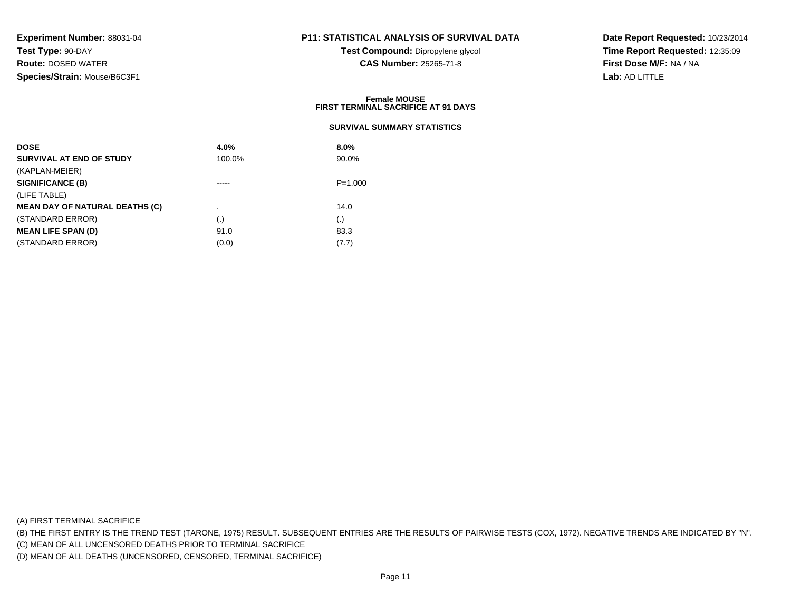### **P11: STATISTICAL ANALYSIS OF SURVIVAL DATA**

**Test Compound:** Dipropylene glycol **CAS Number:** 25265-71-8

**Date Report Requested:** 10/23/2014**Time Report Requested:** 12:35:09**First Dose M/F:** NA / NA**Lab:** AD LITTLE

|                                       |                                    | <b>Female MOUSE</b><br><b>FIRST TERMINAL SACRIFICE AT 91 DAYS</b> |  |  |  |  |
|---------------------------------------|------------------------------------|-------------------------------------------------------------------|--|--|--|--|
|                                       | <b>SURVIVAL SUMMARY STATISTICS</b> |                                                                   |  |  |  |  |
| <b>DOSE</b>                           | 4.0%                               | $8.0\%$                                                           |  |  |  |  |
| SURVIVAL AT END OF STUDY              | 100.0%                             | 90.0%                                                             |  |  |  |  |
| (KAPLAN-MEIER)                        |                                    |                                                                   |  |  |  |  |
| <b>SIGNIFICANCE (B)</b>               | $\cdots$                           | $P = 1.000$                                                       |  |  |  |  |
| (LIFE TABLE)                          |                                    |                                                                   |  |  |  |  |
| <b>MEAN DAY OF NATURAL DEATHS (C)</b> |                                    | 14.0                                                              |  |  |  |  |
| (STANDARD ERROR)                      | $\left( . \right)$                 | (.)                                                               |  |  |  |  |
| <b>MEAN LIFE SPAN (D)</b>             | 91.0                               | 83.3                                                              |  |  |  |  |
| (STANDARD ERROR)                      | (0.0)                              | (7.7)                                                             |  |  |  |  |

(A) FIRST TERMINAL SACRIFICE

(B) THE FIRST ENTRY IS THE TREND TEST (TARONE, 1975) RESULT. SUBSEQUENT ENTRIES ARE THE RESULTS OF PAIRWISE TESTS (COX, 1972). NEGATIVE TRENDS ARE INDICATED BY "N".

(C) MEAN OF ALL UNCENSORED DEATHS PRIOR TO TERMINAL SACRIFICE

(D) MEAN OF ALL DEATHS (UNCENSORED, CENSORED, TERMINAL SACRIFICE)

 $(0.0)$   $(7.7)$